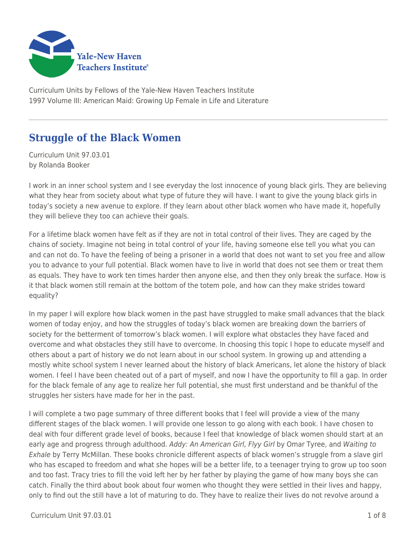

Curriculum Units by Fellows of the Yale-New Haven Teachers Institute 1997 Volume III: American Maid: Growing Up Female in Life and Literature

# **Struggle of the Black Women**

Curriculum Unit 97.03.01 by Rolanda Booker

I work in an inner school system and I see everyday the lost innocence of young black girls. They are believing what they hear from society about what type of future they will have. I want to give the young black girls in today's society a new avenue to explore. If they learn about other black women who have made it, hopefully they will believe they too can achieve their goals.

For a lifetime black women have felt as if they are not in total control of their lives. They are caged by the chains of society. Imagine not being in total control of your life, having someone else tell you what you can and can not do. To have the feeling of being a prisoner in a world that does not want to set you free and allow you to advance to your full potential. Black women have to live in world that does not see them or treat them as equals. They have to work ten times harder then anyone else, and then they only break the surface. How is it that black women still remain at the bottom of the totem pole, and how can they make strides toward equality?

In my paper I will explore how black women in the past have struggled to make small advances that the black women of today enjoy, and how the struggles of today's black women are breaking down the barriers of society for the betterment of tomorrow's black women. I will explore what obstacles they have faced and overcome and what obstacles they still have to overcome. In choosing this topic I hope to educate myself and others about a part of history we do not learn about in our school system. In growing up and attending a mostly white school system I never learned about the history of black Americans, let alone the history of black women. I feel I have been cheated out of a part of myself, and now I have the opportunity to fill a gap. In order for the black female of any age to realize her full potential, she must first understand and be thankful of the struggles her sisters have made for her in the past.

I will complete a two page summary of three different books that I feel will provide a view of the many different stages of the black women. I will provide one lesson to go along with each book. I have chosen to deal with four different grade level of books, because I feel that knowledge of black women should start at an early age and progress through adulthood. Addy: An American Girl, Flyy Girl by Omar Tyree, and Waiting to Exhale by Terry McMillan. These books chronicle different aspects of black women's struggle from a slave girl who has escaped to freedom and what she hopes will be a better life, to a teenager trying to grow up too soon and too fast. Tracy tries to fill the void left her by her father by playing the game of how many boys she can catch. Finally the third about book about four women who thought they were settled in their lives and happy, only to find out the still have a lot of maturing to do. They have to realize their lives do not revolve around a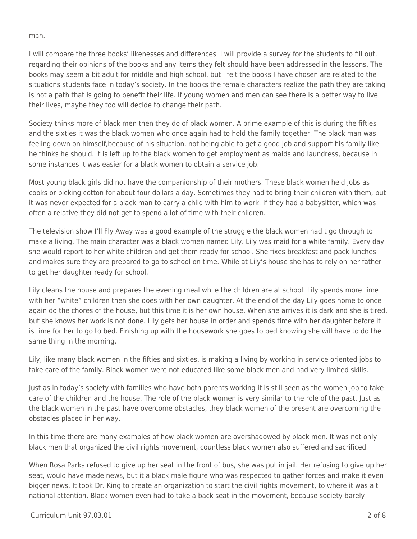man.

I will compare the three books' likenesses and differences. I will provide a survey for the students to fill out, regarding their opinions of the books and any items they felt should have been addressed in the lessons. The books may seem a bit adult for middle and high school, but I felt the books I have chosen are related to the situations students face in today's society. In the books the female characters realize the path they are taking is not a path that is going to benefit their life. If young women and men can see there is a better way to live their lives, maybe they too will decide to change their path.

Society thinks more of black men then they do of black women. A prime example of this is during the fifties and the sixties it was the black women who once again had to hold the family together. The black man was feeling down on himself,because of his situation, not being able to get a good job and support his family like he thinks he should. It is left up to the black women to get employment as maids and laundress, because in some instances it was easier for a black women to obtain a service job.

Most young black girls did not have the companionship of their mothers. These black women held jobs as cooks or picking cotton for about four dollars a day. Sometimes they had to bring their children with them, but it was never expected for a black man to carry a child with him to work. If they had a babysitter, which was often a relative they did not get to spend a lot of time with their children.

The television show I'll Fly Away was a good example of the struggle the black women had t go through to make a living. The main character was a black women named Lily. Lily was maid for a white family. Every day she would report to her white children and get them ready for school. She fixes breakfast and pack lunches and makes sure they are prepared to go to school on time. While at Lily's house she has to rely on her father to get her daughter ready for school.

Lily cleans the house and prepares the evening meal while the children are at school. Lily spends more time with her "white" children then she does with her own daughter. At the end of the day Lily goes home to once again do the chores of the house, but this time it is her own house. When she arrives it is dark and she is tired, but she knows her work is not done. Lily gets her house in order and spends time with her daughter before it is time for her to go to bed. Finishing up with the housework she goes to bed knowing she will have to do the same thing in the morning.

Lily, like many black women in the fifties and sixties, is making a living by working in service oriented jobs to take care of the family. Black women were not educated like some black men and had very limited skills.

Just as in today's society with families who have both parents working it is still seen as the women job to take care of the children and the house. The role of the black women is very similar to the role of the past. Just as the black women in the past have overcome obstacles, they black women of the present are overcoming the obstacles placed in her way.

In this time there are many examples of how black women are overshadowed by black men. It was not only black men that organized the civil rights movement, countless black women also suffered and sacrificed.

When Rosa Parks refused to give up her seat in the front of bus, she was put in jail. Her refusing to give up her seat, would have made news, but it a black male figure who was respected to gather forces and make it even bigger news. It took Dr. King to create an organization to start the civil rights movement, to where it was a t national attention. Black women even had to take a back seat in the movement, because society barely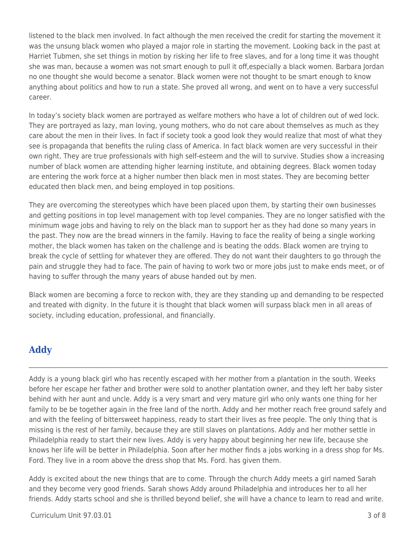listened to the black men involved. In fact although the men received the credit for starting the movement it was the unsung black women who played a major role in starting the movement. Looking back in the past at Harriet Tubmen, she set things in motion by risking her life to free slaves, and for a long time it was thought she was man, because a women was not smart enough to pull it off,especially a black women. Barbara Jordan no one thought she would become a senator. Black women were not thought to be smart enough to know anything about politics and how to run a state. She proved all wrong, and went on to have a very successful career.

In today's society black women are portrayed as welfare mothers who have a lot of children out of wed lock. They are portrayed as lazy, man loving, young mothers, who do not care about themselves as much as they care about the men in their lives. In fact if society took a good look they would realize that most of what they see is propaganda that benefits the ruling class of America. In fact black women are very successful in their own right. They are true professionals with high self-esteem and the will to survive. Studies show a increasing number of black women are attending higher learning institute, and obtaining degrees. Black women today are entering the work force at a higher number then black men in most states. They are becoming better educated then black men, and being employed in top positions.

They are overcoming the stereotypes which have been placed upon them, by starting their own businesses and getting positions in top level management with top level companies. They are no longer satisfied with the minimum wage jobs and having to rely on the black man to support her as they had done so many years in the past. They now are the bread winners in the family. Having to face the reality of being a single working mother, the black women has taken on the challenge and is beating the odds. Black women are trying to break the cycle of settling for whatever they are offered. They do not want their daughters to go through the pain and struggle they had to face. The pain of having to work two or more jobs just to make ends meet, or of having to suffer through the many years of abuse handed out by men.

Black women are becoming a force to reckon with, they are they standing up and demanding to be respected and treated with dignity. In the future it is thought that black women will surpass black men in all areas of society, including education, professional, and financially.

# **Addy**

Addy is a young black girl who has recently escaped with her mother from a plantation in the south. Weeks before her escape her father and brother were sold to another plantation owner, and they left her baby sister behind with her aunt and uncle. Addy is a very smart and very mature girl who only wants one thing for her family to be be together again in the free land of the north. Addy and her mother reach free ground safely and and with the feeling of bittersweet happiness, ready to start their lives as free people. The only thing that is missing is the rest of her family, because they are still slaves on plantations. Addy and her mother settle in Philadelphia ready to start their new lives. Addy is very happy about beginning her new life, because she knows her life will be better in Philadelphia. Soon after her mother finds a jobs working in a dress shop for Ms. Ford. They live in a room above the dress shop that Ms. Ford. has given them.

Addy is excited about the new things that are to come. Through the church Addy meets a girl named Sarah and they become very good friends. Sarah shows Addy around Philadelphia and introduces her to all her friends. Addy starts school and she is thrilled beyond belief, she will have a chance to learn to read and write.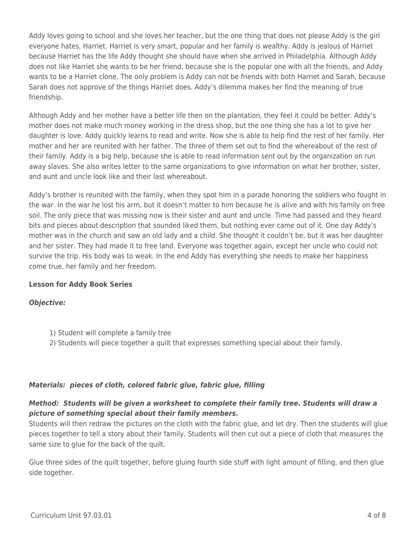Addy loves going to school and she loves her teacher, but the one thing that does not please Addy is the girl everyone hates, Harriet. Harriet is very smart, popular and her family is wealthy. Addy is jealous of Harriet because Harriet has the life Addy thought she should have when she arrived in Philadelphia. Although Addy does not like Harriet she wants to be her friend, because she is the popular one with all the friends, and Addy wants to be a Harriet clone. The only problem is Addy can not be friends with both Harriet and Sarah, because Sarah does not approve of the things Harriet does. Addy's dilemma makes her find the meaning of true friendship.

Although Addy and her mother have a better life then on the plantation, they feel it could be better. Addy's mother does not make much money working in the dress shop, but the one thing she has a lot to give her daughter is love. Addy quickly learns to read and write. Now she is able to help find the rest of her family. Her mother and her are reunited with her father. The three of them set out to find the whereabout of the rest of their family. Addy is a big help, because she is able to read information sent out by the organization on run away slaves. She also writes letter to the same organizations to give information on what her brother, sister, and aunt and uncle look like and their last whereabout.

Addy's brother is reunited with the family, when they spot him in a parade honoring the soldiers who fought in the war. In the war he lost his arm, but it doesn't matter to him because he is alive and with his family on free soil. The only piece that was missing now is their sister and aunt and uncle. Time had passed and they heard bits and pieces about description that sounded liked them, but nothing ever came out of it. One day Addy's mother was in the church and saw an old lady and a child. She thought it couldn't be, but it was her daughter and her sister. They had made it to free land. Everyone was together again, except her uncle who could not survive the trip. His body was to weak. In the end Addy has everything she needs to make her happiness come true, her family and her freedom.

#### **Lesson for Addy Book Series**

## *Objective:*

- 1) Student will complete a family tree
- 2) Students will piece together a quilt that expresses something special about their family.

#### *Materials: pieces of cloth, colored fabric glue, fabric glue, filling*

## *Method: Students will be given a worksheet to complete their family tree. Students will draw a picture of something special about their family members.*

Students will then redraw the pictures on the cloth with the fabric glue, and let dry. Then the students will glue pieces together to tell a story about their family. Students will then cut out a piece of cloth that measures the same size to glue for the back of the quilt.

Glue three sides of the quilt together, before gluing fourth side stuff with light amount of filling, and then glue side together.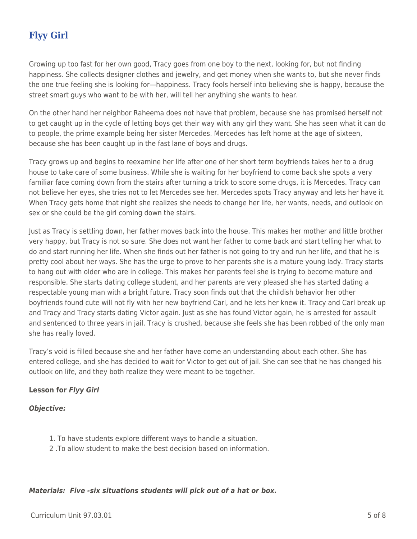# **Flyy Girl**

Growing up too fast for her own good, Tracy goes from one boy to the next, looking for, but not finding happiness. She collects designer clothes and jewelry, and get money when she wants to, but she never finds the one true feeling she is looking for—happiness. Tracy fools herself into believing she is happy, because the street smart guys who want to be with her, will tell her anything she wants to hear.

On the other hand her neighbor Raheema does not have that problem, because she has promised herself not to get caught up in the cycle of letting boys get their way with any girl they want. She has seen what it can do to people, the prime example being her sister Mercedes. Mercedes has left home at the age of sixteen, because she has been caught up in the fast lane of boys and drugs.

Tracy grows up and begins to reexamine her life after one of her short term boyfriends takes her to a drug house to take care of some business. While she is waiting for her boyfriend to come back she spots a very familiar face coming down from the stairs after turning a trick to score some drugs, it is Mercedes. Tracy can not believe her eyes, she tries not to let Mercedes see her. Mercedes spots Tracy anyway and lets her have it. When Tracy gets home that night she realizes she needs to change her life, her wants, needs, and outlook on sex or she could be the girl coming down the stairs.

Just as Tracy is settling down, her father moves back into the house. This makes her mother and little brother very happy, but Tracy is not so sure. She does not want her father to come back and start telling her what to do and start running her life. When she finds out her father is not going to try and run her life, and that he is pretty cool about her ways. She has the urge to prove to her parents she is a mature young lady. Tracy starts to hang out with older who are in college. This makes her parents feel she is trying to become mature and responsible. She starts dating college student, and her parents are very pleased she has started dating a respectable young man with a bright future. Tracy soon finds out that the childish behavior her other boyfriends found cute will not fly with her new boyfriend Carl, and he lets her knew it. Tracy and Carl break up and Tracy and Tracy starts dating Victor again. Just as she has found Victor again, he is arrested for assault and sentenced to three years in jail. Tracy is crushed, because she feels she has been robbed of the only man she has really loved.

Tracy's void is filled because she and her father have come an understanding about each other. She has entered college, and she has decided to wait for Victor to get out of jail. She can see that he has changed his outlook on life, and they both realize they were meant to be together.

## **Lesson for** *Flyy Girl*

#### *Objective:*

- 1. To have students explore different ways to handle a situation.
- 2 .To allow student to make the best decision based on information.

## *Materials: Five -six situations students will pick out of a hat or box.*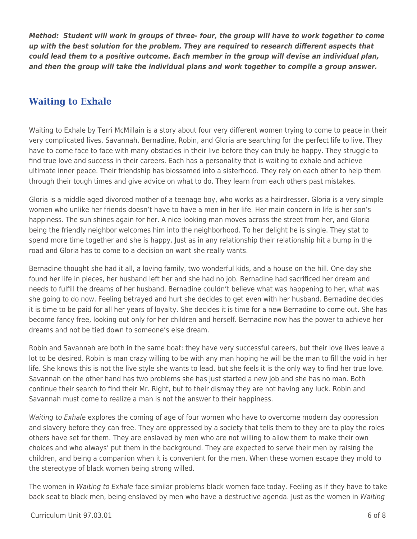*Method: Student will work in groups of three- four, the group will have to work together to come up with the best solution for the problem. They are required to research different aspects that could lead them to a positive outcome. Each member in the group will devise an individual plan, and then the group will take the individual plans and work together to compile a group answer.*

# **Waiting to Exhale**

Waiting to Exhale by Terri McMillain is a story about four very different women trying to come to peace in their very complicated lives. Savannah, Bernadine, Robin, and Gloria are searching for the perfect life to live. They have to come face to face with many obstacles in their live before they can truly be happy. They struggle to find true love and success in their careers. Each has a personality that is waiting to exhale and achieve ultimate inner peace. Their friendship has blossomed into a sisterhood. They rely on each other to help them through their tough times and give advice on what to do. They learn from each others past mistakes.

Gloria is a middle aged divorced mother of a teenage boy, who works as a hairdresser. Gloria is a very simple women who unlike her friends doesn't have to have a men in her life. Her main concern in life is her son's happiness. The sun shines again for her. A nice looking man moves across the street from her, and Gloria being the friendly neighbor welcomes him into the neighborhood. To her delight he is single. They stat to spend more time together and she is happy. Just as in any relationship their relationship hit a bump in the road and Gloria has to come to a decision on want she really wants.

Bernadine thought she had it all, a loving family, two wonderful kids, and a house on the hill. One day she found her life in pieces, her husband left her and she had no job. Bernadine had sacrificed her dream and needs to fulfill the dreams of her husband. Bernadine couldn't believe what was happening to her, what was she going to do now. Feeling betrayed and hurt she decides to get even with her husband. Bernadine decides it is time to be paid for all her years of loyalty. She decides it is time for a new Bernadine to come out. She has become fancy free, looking out only for her children and herself. Bernadine now has the power to achieve her dreams and not be tied down to someone's else dream.

Robin and Savannah are both in the same boat: they have very successful careers, but their love lives leave a lot to be desired. Robin is man crazy willing to be with any man hoping he will be the man to fill the void in her life. She knows this is not the live style she wants to lead, but she feels it is the only way to find her true love. Savannah on the other hand has two problems she has just started a new job and she has no man. Both continue their search to find their Mr. Right, but to their dismay they are not having any luck. Robin and Savannah must come to realize a man is not the answer to their happiness.

Waiting to Exhale explores the coming of age of four women who have to overcome modern day oppression and slavery before they can free. They are oppressed by a society that tells them to they are to play the roles others have set for them. They are enslaved by men who are not willing to allow them to make their own choices and who always' put them in the background. They are expected to serve their men by raising the children, and being a companion when it is convenient for the men. When these women escape they mold to the stereotype of black women being strong willed.

The women in Waiting to Exhale face similar problems black women face today. Feeling as if they have to take back seat to black men, being enslaved by men who have a destructive agenda. Just as the women in Waiting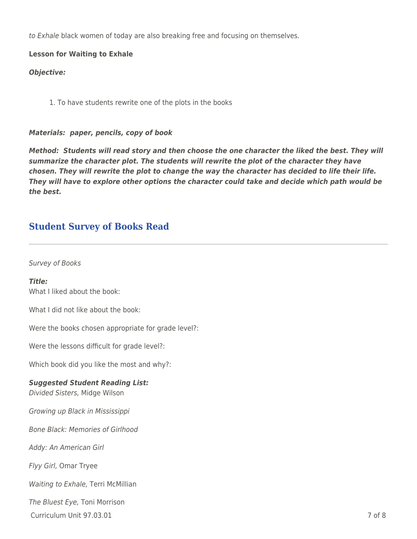to Exhale black women of today are also breaking free and focusing on themselves.

**Lesson for Waiting to Exhale**

*Objective:*

1. To have students rewrite one of the plots in the books

#### *Materials: paper, pencils, copy of book*

*Method: Students will read story and then choose the one character the liked the best. They will summarize the character plot. The students will rewrite the plot of the character they have chosen. They will rewrite the plot to change the way the character has decided to life their life. They will have to explore other options the character could take and decide which path would be the best.*

## **Student Survey of Books Read**

#### Survey of Books

*Title:* What I liked about the book:

What I did not like about the book:

Were the books chosen appropriate for grade level?:

Were the lessons difficult for grade level?:

Which book did you like the most and why?:

#### *Suggested Student Reading List:*

Divided Sisters, Midge Wilson

Growing up Black in Mississippi

Bone Black: Memories of Girlhood

Addy: An American Girl

Flyy Girl, Omar Tryee

Waiting to Exhale, Terri McMillian

The Bluest Eye, Toni Morrison

 $C$ urriculum Unit 97.03.01  $\overline{7}$  of 8